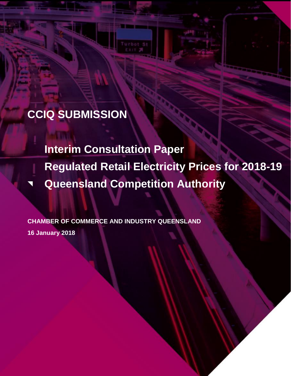# **CCIQ SUBMISSION**

**Interim Consultation Paper Regulated Retail Electricity Prices for 2018-19 Queensland Competition Authority**

**CHAMBER OF COMMERCE AND INDUSTRY QUEENSLAND 16 January 2018**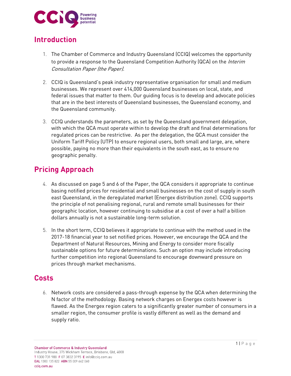

### **Introduction**

- 1. The Chamber of Commerce and Industry Queensland (CCIQ) welcomes the opportunity to provide a response to the Queensland Competition Authority (QCA) on the *Interim* Consultation Paper (the Paper).
- 2. CCIQ is Queensland's peak industry representative organisation for small and medium businesses. We represent over 414,000 Queensland businesses on local, state, and federal issues that matter to them. Our guiding focus is to develop and advocate policies that are in the best interests of Queensland businesses, the Queensland economy, and the Queensland community.
- 3. CCIQ understands the parameters, as set by the Queensland government delegation, with which the QCA must operate within to develop the draft and final determinations for regulated prices can be restrictive. As per the delegation, the QCA must consider the Uniform Tariff Policy (UTP) to ensure regional users, both small and large, are, where possible, paying no more than their equivalents in the south east, as to ensure no geographic penalty.

## **Pricing Approach**

- 4. As discussed on page 5 and 6 of the Paper, the QCA considers it appropriate to continue basing notified prices for residential and small businesses on the cost of supply in south east Queensland, in the deregulated market (Energex distribution zone). CCIQ supports the principle of not penalising regional, rural and remote small businesses for their geographic location, however continuing to subsidise at a cost of over a half a billion dollars annually is not a sustainable long-term solution.
- 5. In the short term, CCIQ believes it appropriate to continue with the method used in the 2017-18 financial year to set notified prices. However, we encourage the QCA and the Department of Natural Resources, Mining and Energy to consider more fiscally sustainable options for future determinations. Such an option may include introducing further competition into regional Queensland to encourage downward pressure on prices through market mechanisms.

#### **Costs**

6. Network costs are considered a pass-through expense by the QCA when determining the N factor of the methodology. Basing network charges on Energex costs however is flawed. As the Energex region caters to a significantly greater number of consumers in a smaller region, the consumer profile is vastly different as well as the demand and supply ratio.